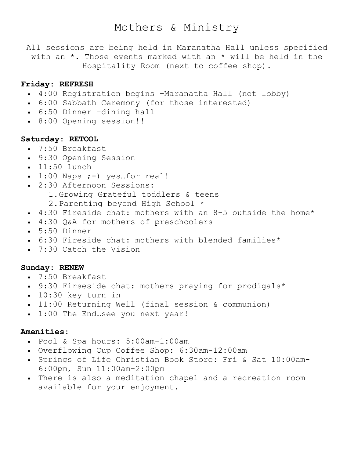# Mothers & Ministry

All sessions are being held in Maranatha Hall unless specified with an \*. Those events marked with an \* will be held in the Hospitality Room (next to coffee shop).

# **Friday: REFRESH**

- 4:00 Registration begins –Maranatha Hall (not lobby)
- 6:00 Sabbath Ceremony (for those interested)
- 6:50 Dinner –dining hall
- 8:00 Opening session!!

#### **Saturday: RETOOL**

- 7:50 Breakfast
- 9:30 Opening Session
- 11:50 lunch
- $\bullet$  1:00 Naps  $;-$ ) yes...for real!
- 2:30 Afternoon Sessions:
	- 1.Growing Grateful toddlers & teens
	- 2.Parenting beyond High School \*
- 4:30 Fireside chat: mothers with an 8-5 outside the home\*
- 4:30 Q&A for mothers of preschoolers
- 5:50 Dinner
- 6:30 Fireside chat: mothers with blended families\*
- 7:30 Catch the Vision

### **Sunday: RENEW**

- 7:50 Breakfast
- 9:30 Firseside chat: mothers praying for prodigals\*
- 10:30 key turn in
- 11:00 Returning Well (final session & communion)
- 1:00 The End…see you next year!

# **Amenities:**

- Pool & Spa hours: 5:00am-1:00am
- Overflowing Cup Coffee Shop: 6:30am-12:00am
- Springs of Life Christian Book Store: Fri & Sat 10:00am-6:00pm, Sun 11:00am-2:00pm
- There is also a meditation chapel and a recreation room available for your enjoyment.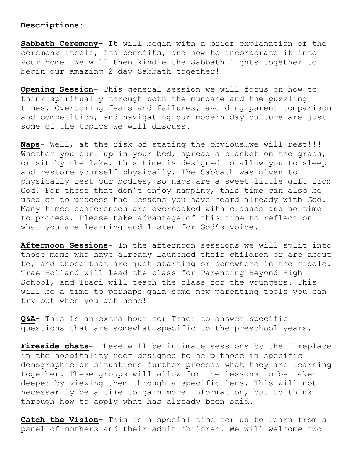#### **Descriptions:**

**Sabbath Ceremony-** It will begin with a brief explanation of the ceremony itself, its benefits, and how to incorporate it into your home. We will then kindle the Sabbath lights together to begin our amazing 2 day Sabbath together!

**Opening Session-** This general session we will focus on how to think spiritually through both the mundane and the puzzling times. Overcoming fears and failures, avoiding parent comparison and competition, and navigating our modern day culture are just some of the topics we will discuss.

**Naps-** Well, at the risk of stating the obvious…we will rest!!! Whether you curl up in your bed, spread a blanket on the grass, or sit by the lake, this time is designed to allow you to sleep and restore yourself physically. The Sabbath was given to physically rest our bodies, so naps are a sweet little gift from God! For those that don't enjoy napping, this time can also be used or to process the lessons you have heard already with God. Many times conferences are overbooked with classes and no time to process. Please take advantage of this time to reflect on what you are learning and listen for God's voice.

**Afternoon Sessions-** In the afternoon sessions we will split into those moms who have already launched their children or are about to, and those that are just starting or somewhere in the middle. Trae Holland will lead the class for Parenting Beyond High School, and Traci will teach the class for the youngers. This will be a time to perhaps gain some new parenting tools you can try out when you get home!

**Q&A-** This is an extra hour for Traci to answer specific questions that are somewhat specific to the preschool years.

**Fireside chats-** These will be intimate sessions by the fireplace in the hospitality room designed to help those in specific demographic or situations further process what they are learning together. These groups will allow for the lessons to be taken deeper by viewing them through a specific lens. This will not necessarily be a time to gain more information, but to think through how to apply what has already been said.

**Catch the Vision-** This is a special time for us to learn from a panel of mothers and their adult children. We will welcome two